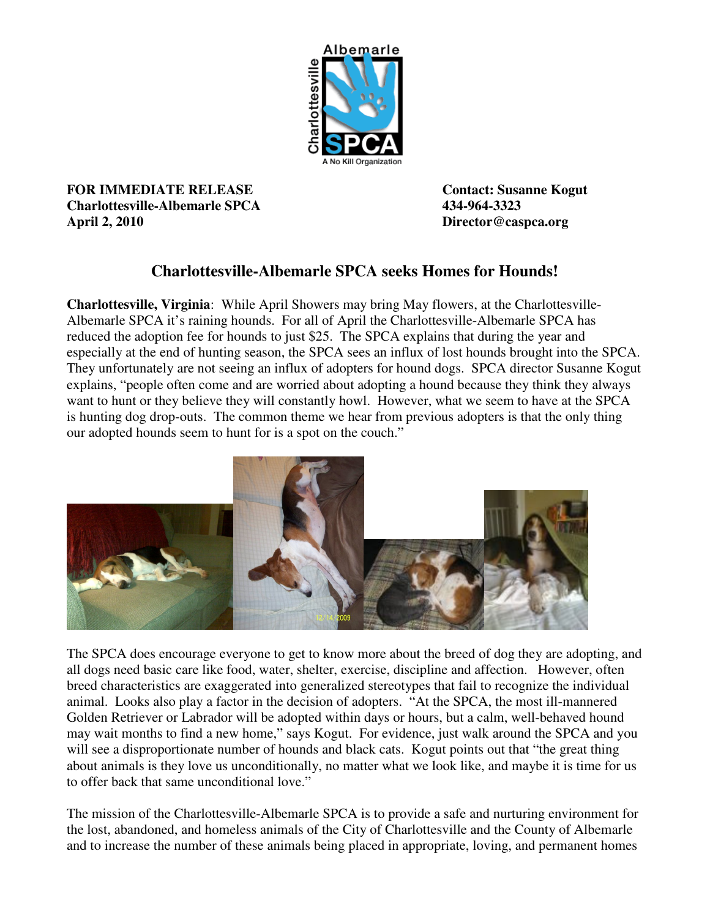

**FOR IMMEDIATE RELEASE CONTACTE CONTACT:** Susanne Kogut **Charlottesville-Albemarle SPCA 434-964-3323 April 2, 2010 Director@caspca.org** 

## **Charlottesville-Albemarle SPCA seeks Homes for Hounds!**

**Charlottesville, Virginia**: While April Showers may bring May flowers, at the Charlottesville-Albemarle SPCA it's raining hounds. For all of April the Charlottesville-Albemarle SPCA has reduced the adoption fee for hounds to just \$25. The SPCA explains that during the year and especially at the end of hunting season, the SPCA sees an influx of lost hounds brought into the SPCA. They unfortunately are not seeing an influx of adopters for hound dogs. SPCA director Susanne Kogut explains, "people often come and are worried about adopting a hound because they think they always want to hunt or they believe they will constantly howl. However, what we seem to have at the SPCA is hunting dog drop-outs. The common theme we hear from previous adopters is that the only thing our adopted hounds seem to hunt for is a spot on the couch."



The SPCA does encourage everyone to get to know more about the breed of dog they are adopting, and all dogs need basic care like food, water, shelter, exercise, discipline and affection. However, often breed characteristics are exaggerated into generalized stereotypes that fail to recognize the individual animal. Looks also play a factor in the decision of adopters. "At the SPCA, the most ill-mannered Golden Retriever or Labrador will be adopted within days or hours, but a calm, well-behaved hound may wait months to find a new home," says Kogut. For evidence, just walk around the SPCA and you will see a disproportionate number of hounds and black cats. Kogut points out that "the great thing about animals is they love us unconditionally, no matter what we look like, and maybe it is time for us to offer back that same unconditional love."

The mission of the Charlottesville-Albemarle SPCA is to provide a safe and nurturing environment for the lost, abandoned, and homeless animals of the City of Charlottesville and the County of Albemarle and to increase the number of these animals being placed in appropriate, loving, and permanent homes